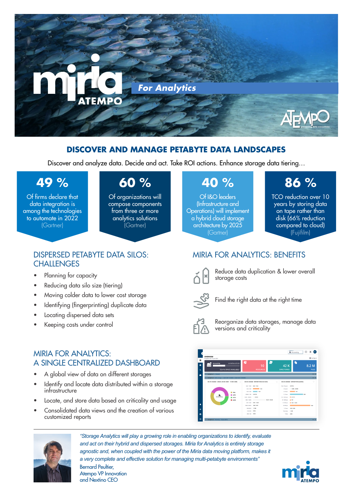

## **DISCOVER AND MANAGE PETABYTE DATA LANDSCAPES**

Discover and analyze data. Decide and act. Take ROI actions. Enhance storage data tiering…

# **49 %**

Of firms declare that data integration is among the technologies to automate in 2022 (Gartner)

**CHALLENGES** 

• Planning for capacity

• Reducing data silo size (tiering)

• Locating dispersed data sets Keeping costs under control

# **60 %**

Of organizations will compose components from three or more analytics solutions (Gartner)

# **40 %**

Of I&O leaders (Infrastructure and Operations) will implement a hybrid cloud storage architecture by 2025 (Gartner)

# **86 %**

TCO reduction over 10 years by storing data on tape rather than disk (66% reduction compared to cloud) (Fujifilm)

# MIRIA FOR ANALYTICS: BENEFITS



Reduce data duplication & lower overall storage costs



Find the right data at the right time



Reorganize data storages, manage data versions and criticality

# MIRIA FOR ANALYTICS: A SINGLE CENTRALIZED DASHBOARD

• A global view of data on different storages

DISPERSED PETABYTE DATA SILOS:

• Moving colder data to lower cost storage • Identifying (fingerprinting) duplicate data

- Identify and locate data distributed within a storage infrastructure
- Locate, and store data based on criticality and usage
- Consolidated data views and the creation of various customized reports





*"Storage Analytics will play a growing role in enabling organizations to identify, evaluate and act on their hybrid and dispersed storages. Miria for Analytics is entirely storage agnostic and, when coupled with the power of the Miria data moving platform, makes it a very complete and effective solution for managing multi-petabyte environments"*

Bernard Peultier, Atempo VP Innovation and Nextino CEO